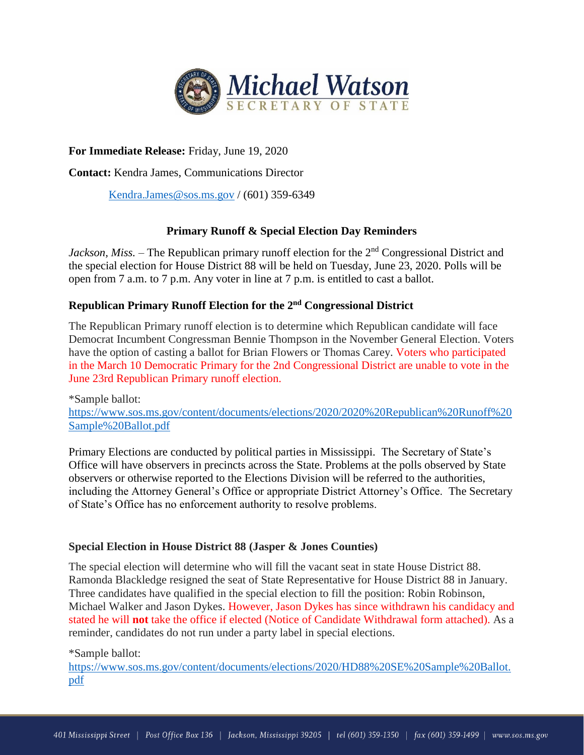

# **For Immediate Release:** Friday, June 19, 2020

**Contact:** Kendra James, Communications Director

[Kendra.James@sos.ms.gov](mailto:Kendra.James@sos.ms.gov) / (601) 359-6349

## **Primary Runoff & Special Election Day Reminders**

*Jackson, Miss.* – The Republican primary runoff election for the 2<sup>nd</sup> Congressional District and the special election for House District 88 will be held on Tuesday, June 23, 2020. Polls will be open from 7 a.m. to 7 p.m. Any voter in line at 7 p.m. is entitled to cast a ballot.

## **Republican Primary Runoff Election for the 2 nd Congressional District**

The Republican Primary runoff election is to determine which Republican candidate will face Democrat Incumbent Congressman Bennie Thompson in the November General Election. Voters have the option of casting a ballot for Brian Flowers or Thomas Carey. Voters who participated in the March 10 Democratic Primary for the 2nd Congressional District are unable to vote in the June 23rd Republican Primary runoff election.

\*Sample ballot: [https://www.sos.ms.gov/content/documents/elections/2020/2020%20Republican%20Runoff%20](https://www.sos.ms.gov/content/documents/elections/2020/2020%20Republican%20Runoff%20Sample%20Ballot.pdf) [Sample%20Ballot.pdf](https://www.sos.ms.gov/content/documents/elections/2020/2020%20Republican%20Runoff%20Sample%20Ballot.pdf)

Primary Elections are conducted by political parties in Mississippi. The Secretary of State's Office will have observers in precincts across the State. Problems at the polls observed by State observers or otherwise reported to the Elections Division will be referred to the authorities, including the Attorney General's Office or appropriate District Attorney's Office. The Secretary of State's Office has no enforcement authority to resolve problems.

### **Special Election in House District 88 (Jasper & Jones Counties)**

The special election will determine who will fill the vacant seat in state House District 88. Ramonda Blackledge resigned the seat of State Representative for House District 88 in January. Three candidates have qualified in the special election to fill the position: Robin Robinson, Michael Walker and Jason Dykes. However, Jason Dykes has since withdrawn his candidacy and stated he will **not** take the office if elected (Notice of Candidate Withdrawal form attached). As a reminder, candidates do not run under a party label in special elections.

\*Sample ballot:

[https://www.sos.ms.gov/content/documents/elections/2020/HD88%20SE%20Sample%20Ballot.](https://www.sos.ms.gov/content/documents/elections/2020/HD88%20SE%20Sample%20Ballot.pdf) [pdf](https://www.sos.ms.gov/content/documents/elections/2020/HD88%20SE%20Sample%20Ballot.pdf)